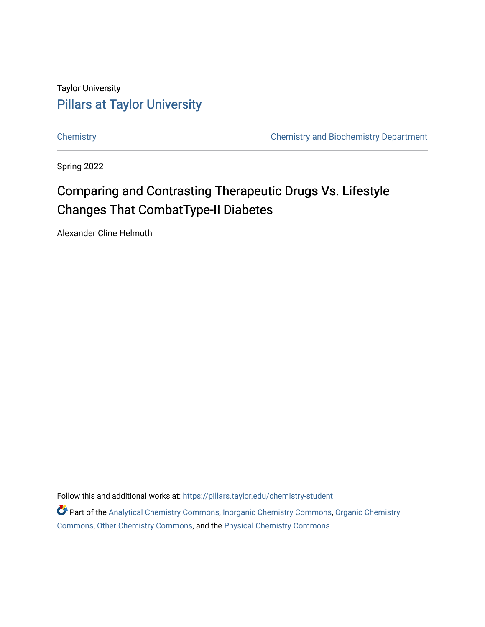# Taylor University [Pillars at Taylor University](https://pillars.taylor.edu/)

[Chemistry](https://pillars.taylor.edu/chemistry-student) [Chemistry and Biochemistry Department](https://pillars.taylor.edu/chemistry) 

Spring 2022

# Comparing and Contrasting Therapeutic Drugs Vs. Lifestyle Changes That CombatType-II Diabetes

Alexander Cline Helmuth

Follow this and additional works at: [https://pillars.taylor.edu/chemistry-student](https://pillars.taylor.edu/chemistry-student?utm_source=pillars.taylor.edu%2Fchemistry-student%2F25&utm_medium=PDF&utm_campaign=PDFCoverPages) 

Part of the [Analytical Chemistry Commons,](https://network.bepress.com/hgg/discipline/132?utm_source=pillars.taylor.edu%2Fchemistry-student%2F25&utm_medium=PDF&utm_campaign=PDFCoverPages) [Inorganic Chemistry Commons,](https://network.bepress.com/hgg/discipline/137?utm_source=pillars.taylor.edu%2Fchemistry-student%2F25&utm_medium=PDF&utm_campaign=PDFCoverPages) [Organic Chemistry](https://network.bepress.com/hgg/discipline/138?utm_source=pillars.taylor.edu%2Fchemistry-student%2F25&utm_medium=PDF&utm_campaign=PDFCoverPages) [Commons](https://network.bepress.com/hgg/discipline/138?utm_source=pillars.taylor.edu%2Fchemistry-student%2F25&utm_medium=PDF&utm_campaign=PDFCoverPages), [Other Chemistry Commons](https://network.bepress.com/hgg/discipline/141?utm_source=pillars.taylor.edu%2Fchemistry-student%2F25&utm_medium=PDF&utm_campaign=PDFCoverPages), and the [Physical Chemistry Commons](https://network.bepress.com/hgg/discipline/139?utm_source=pillars.taylor.edu%2Fchemistry-student%2F25&utm_medium=PDF&utm_campaign=PDFCoverPages)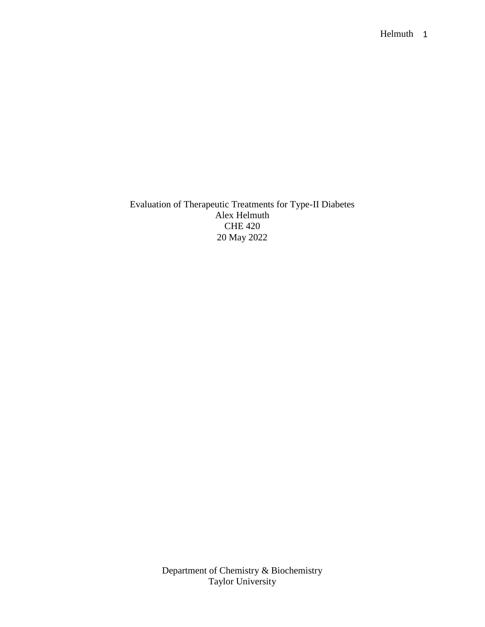Evaluation of Therapeutic Treatments for Type-II Diabetes Alex Helmuth CHE 420 20 May 2022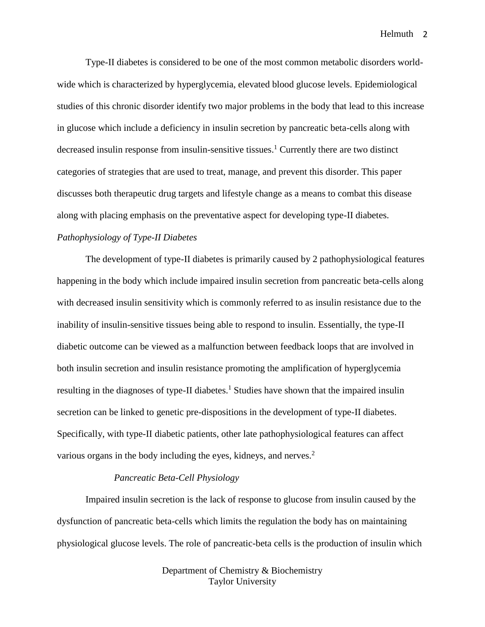Type-II diabetes is considered to be one of the most common metabolic disorders worldwide which is characterized by hyperglycemia, elevated blood glucose levels. Epidemiological studies of this chronic disorder identify two major problems in the body that lead to this increase in glucose which include a deficiency in insulin secretion by pancreatic beta-cells along with decreased insulin response from insulin-sensitive tissues.<sup>1</sup> Currently there are two distinct categories of strategies that are used to treat, manage, and prevent this disorder. This paper discusses both therapeutic drug targets and lifestyle change as a means to combat this disease along with placing emphasis on the preventative aspect for developing type-II diabetes.

# *Pathophysiology of Type-II Diabetes*

The development of type-II diabetes is primarily caused by 2 pathophysiological features happening in the body which include impaired insulin secretion from pancreatic beta-cells along with decreased insulin sensitivity which is commonly referred to as insulin resistance due to the inability of insulin-sensitive tissues being able to respond to insulin. Essentially, the type-II diabetic outcome can be viewed as a malfunction between feedback loops that are involved in both insulin secretion and insulin resistance promoting the amplification of hyperglycemia resulting in the diagnoses of type-II diabetes.<sup>1</sup> Studies have shown that the impaired insulin secretion can be linked to genetic pre-dispositions in the development of type-II diabetes. Specifically, with type-II diabetic patients, other late pathophysiological features can affect various organs in the body including the eyes, kidneys, and nerves.<sup>2</sup>

#### *Pancreatic Beta-Cell Physiology*

Impaired insulin secretion is the lack of response to glucose from insulin caused by the dysfunction of pancreatic beta-cells which limits the regulation the body has on maintaining physiological glucose levels. The role of pancreatic-beta cells is the production of insulin which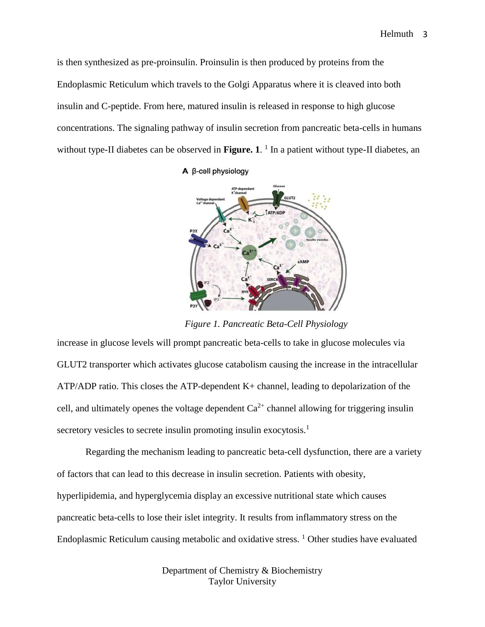is then synthesized as pre-proinsulin. Proinsulin is then produced by proteins from the Endoplasmic Reticulum which travels to the Golgi Apparatus where it is cleaved into both insulin and C-peptide. From here, matured insulin is released in response to high glucose concentrations. The signaling pathway of insulin secretion from pancreatic beta-cells in humans without type-II diabetes can be observed in Figure. 1.<sup>1</sup> In a patient without type-II diabetes, an

 $A$   $\beta$ -cell physiology



*Figure 1. Pancreatic Beta-Cell Physiology*

increase in glucose levels will prompt pancreatic beta-cells to take in glucose molecules via GLUT2 transporter which activates glucose catabolism causing the increase in the intracellular ATP/ADP ratio. This closes the ATP-dependent K+ channel, leading to depolarization of the cell, and ultimately openes the voltage dependent  $Ca^{2+}$  channel allowing for triggering insulin secretory vesicles to secrete insulin promoting insulin exocytosis.<sup>1</sup>

Regarding the mechanism leading to pancreatic beta-cell dysfunction, there are a variety of factors that can lead to this decrease in insulin secretion. Patients with obesity, hyperlipidemia, and hyperglycemia display an excessive nutritional state which causes pancreatic beta-cells to lose their islet integrity. It results from inflammatory stress on the Endoplasmic Reticulum causing metabolic and oxidative stress. <sup>1</sup> Other studies have evaluated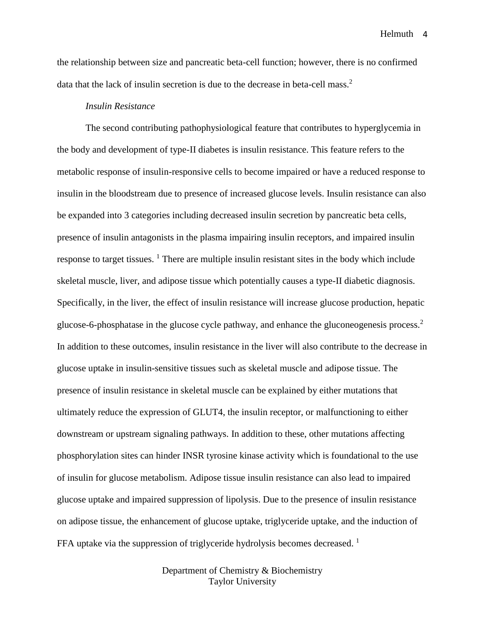the relationship between size and pancreatic beta-cell function; however, there is no confirmed data that the lack of insulin secretion is due to the decrease in beta-cell mass.<sup>2</sup>

#### *Insulin Resistance*

The second contributing pathophysiological feature that contributes to hyperglycemia in the body and development of type-II diabetes is insulin resistance. This feature refers to the metabolic response of insulin-responsive cells to become impaired or have a reduced response to insulin in the bloodstream due to presence of increased glucose levels. Insulin resistance can also be expanded into 3 categories including decreased insulin secretion by pancreatic beta cells, presence of insulin antagonists in the plasma impairing insulin receptors, and impaired insulin response to target tissues.  $\frac{1}{1}$  There are multiple insulin resistant sites in the body which include skeletal muscle, liver, and adipose tissue which potentially causes a type-II diabetic diagnosis. Specifically, in the liver, the effect of insulin resistance will increase glucose production, hepatic glucose-6-phosphatase in the glucose cycle pathway, and enhance the gluconeogenesis process.<sup>2</sup> In addition to these outcomes, insulin resistance in the liver will also contribute to the decrease in glucose uptake in insulin-sensitive tissues such as skeletal muscle and adipose tissue. The presence of insulin resistance in skeletal muscle can be explained by either mutations that ultimately reduce the expression of GLUT4, the insulin receptor, or malfunctioning to either downstream or upstream signaling pathways. In addition to these, other mutations affecting phosphorylation sites can hinder INSR tyrosine kinase activity which is foundational to the use of insulin for glucose metabolism. Adipose tissue insulin resistance can also lead to impaired glucose uptake and impaired suppression of lipolysis. Due to the presence of insulin resistance on adipose tissue, the enhancement of glucose uptake, triglyceride uptake, and the induction of FFA uptake via the suppression of triglyceride hydrolysis becomes decreased.<sup>1</sup>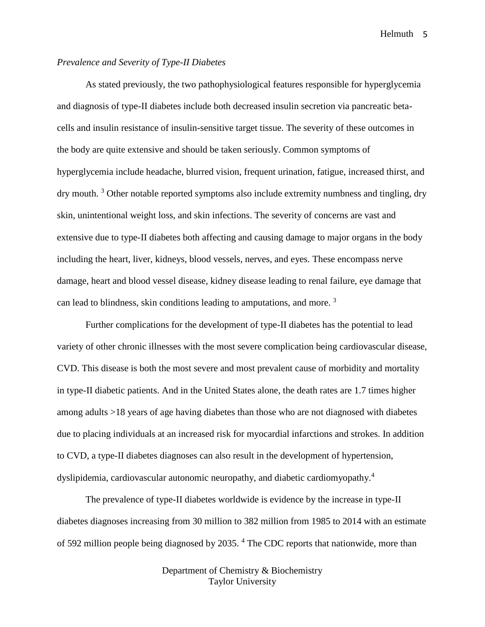#### *Prevalence and Severity of Type-II Diabetes*

As stated previously, the two pathophysiological features responsible for hyperglycemia and diagnosis of type-II diabetes include both decreased insulin secretion via pancreatic betacells and insulin resistance of insulin-sensitive target tissue. The severity of these outcomes in the body are quite extensive and should be taken seriously. Common symptoms of hyperglycemia include headache, blurred vision, frequent urination, fatigue, increased thirst, and dry mouth. <sup>3</sup> Other notable reported symptoms also include extremity numbness and tingling, dry skin, unintentional weight loss, and skin infections. The severity of concerns are vast and extensive due to type-II diabetes both affecting and causing damage to major organs in the body including the heart, liver, kidneys, blood vessels, nerves, and eyes. These encompass nerve damage, heart and blood vessel disease, kidney disease leading to renal failure, eye damage that can lead to blindness, skin conditions leading to amputations, and more.<sup>3</sup>

Further complications for the development of type-II diabetes has the potential to lead variety of other chronic illnesses with the most severe complication being cardiovascular disease, CVD. This disease is both the most severe and most prevalent cause of morbidity and mortality in type-II diabetic patients. And in the United States alone, the death rates are 1.7 times higher among adults >18 years of age having diabetes than those who are not diagnosed with diabetes due to placing individuals at an increased risk for myocardial infarctions and strokes. In addition to CVD, a type-II diabetes diagnoses can also result in the development of hypertension, dyslipidemia, cardiovascular autonomic neuropathy, and diabetic cardiomyopathy.<sup>4</sup>

The prevalence of type-II diabetes worldwide is evidence by the increase in type-II diabetes diagnoses increasing from 30 million to 382 million from 1985 to 2014 with an estimate of 592 million people being diagnosed by 2035. <sup>4</sup> The CDC reports that nationwide, more than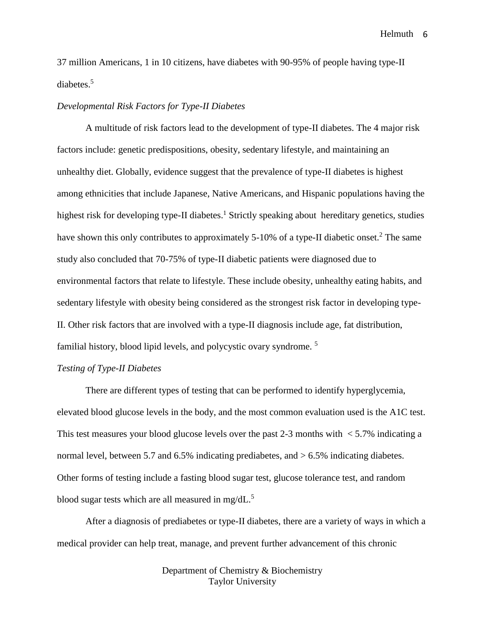37 million Americans, 1 in 10 citizens, have diabetes with 90-95% of people having type-II diabetes.<sup>5</sup>

#### *Developmental Risk Factors for Type-II Diabetes*

A multitude of risk factors lead to the development of type-II diabetes. The 4 major risk factors include: genetic predispositions, obesity, sedentary lifestyle, and maintaining an unhealthy diet. Globally, evidence suggest that the prevalence of type-II diabetes is highest among ethnicities that include Japanese, Native Americans, and Hispanic populations having the highest risk for developing type-II diabetes.<sup>1</sup> Strictly speaking about hereditary genetics, studies have shown this only contributes to approximately  $5-10\%$  of a type-II diabetic onset.<sup>2</sup> The same study also concluded that 70-75% of type-II diabetic patients were diagnosed due to environmental factors that relate to lifestyle. These include obesity, unhealthy eating habits, and sedentary lifestyle with obesity being considered as the strongest risk factor in developing type-II. Other risk factors that are involved with a type-II diagnosis include age, fat distribution, familial history, blood lipid levels, and polycystic ovary syndrome. <sup>5</sup>

#### *Testing of Type-II Diabetes*

There are different types of testing that can be performed to identify hyperglycemia, elevated blood glucose levels in the body, and the most common evaluation used is the A1C test. This test measures your blood glucose levels over the past 2-3 months with  $\lt 5.7\%$  indicating a normal level, between 5.7 and 6.5% indicating prediabetes, and  $> 6.5\%$  indicating diabetes. Other forms of testing include a fasting blood sugar test, glucose tolerance test, and random blood sugar tests which are all measured in mg/dL. $^5$ 

After a diagnosis of prediabetes or type-II diabetes, there are a variety of ways in which a medical provider can help treat, manage, and prevent further advancement of this chronic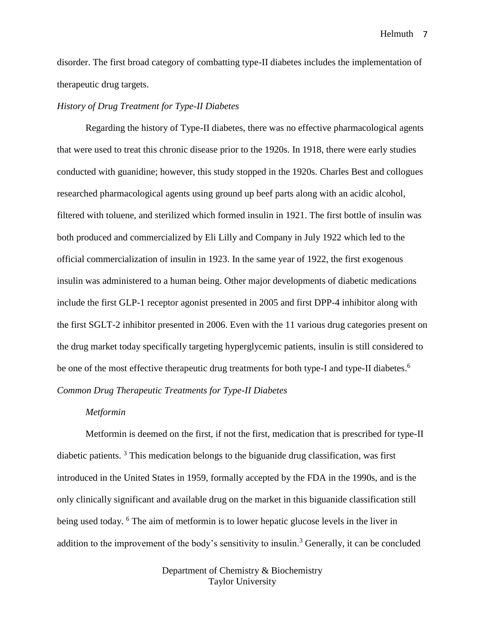disorder. The first broad category of combatting type-II diabetes includes the implementation of therapeutic drug targets.

#### *History of Drug Treatment for Type-II Diabetes*

Regarding the history of Type-II diabetes, there was no effective pharmacological agents that were used to treat this chronic disease prior to the 1920s. In 1918, there were early studies conducted with guanidine; however, this study stopped in the 1920s. Charles Best and collogues researched pharmacological agents using ground up beef parts along with an acidic alcohol, filtered with toluene, and sterilized which formed insulin in 1921. The first bottle of insulin was both produced and commercialized by Eli Lilly and Company in July 1922 which led to the official commercialization of insulin in 1923. In the same year of 1922, the first exogenous insulin was administered to a human being. Other major developments of diabetic medications include the first GLP-1 receptor agonist presented in 2005 and first DPP-4 inhibitor along with the first SGLT-2 inhibitor presented in 2006. Even with the 11 various drug categories present on the drug market today specifically targeting hyperglycemic patients, insulin is still considered to be one of the most effective therapeutic drug treatments for both type-I and type-II diabetes.<sup>6</sup> *Common Drug Therapeutic Treatments for Type-II Diabetes*

#### *Metformin*

Metformin is deemed on the first, if not the first, medication that is prescribed for type-II diabetic patients. <sup>3</sup> This medication belongs to the biguanide drug classification, was first introduced in the United States in 1959, formally accepted by the FDA in the 1990s, and is the only clinically significant and available drug on the market in this biguanide classification still being used today. <sup>6</sup> The aim of metformin is to lower hepatic glucose levels in the liver in addition to the improvement of the body's sensitivity to insulin.<sup>3</sup> Generally, it can be concluded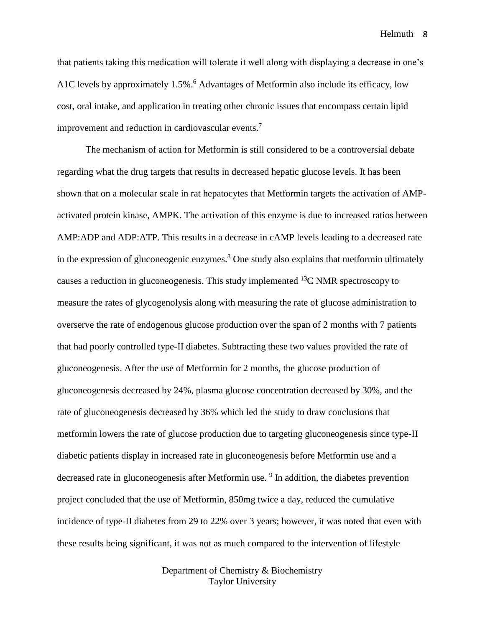that patients taking this medication will tolerate it well along with displaying a decrease in one's A1C levels by approximately 1.5%. <sup>6</sup> Advantages of Metformin also include its efficacy, low cost, oral intake, and application in treating other chronic issues that encompass certain lipid improvement and reduction in cardiovascular events.<sup>7</sup>

The mechanism of action for Metformin is still considered to be a controversial debate regarding what the drug targets that results in decreased hepatic glucose levels. It has been shown that on a molecular scale in rat hepatocytes that Metformin targets the activation of AMPactivated protein kinase, AMPK. The activation of this enzyme is due to increased ratios between AMP:ADP and ADP:ATP. This results in a decrease in cAMP levels leading to a decreased rate in the expression of gluconeogenic enzymes.<sup>8</sup> One study also explains that metformin ultimately causes a reduction in gluconeogenesis. This study implemented  $^{13}$ C NMR spectroscopy to measure the rates of glycogenolysis along with measuring the rate of glucose administration to overserve the rate of endogenous glucose production over the span of 2 months with 7 patients that had poorly controlled type-II diabetes. Subtracting these two values provided the rate of gluconeogenesis. After the use of Metformin for 2 months, the glucose production of gluconeogenesis decreased by 24%, plasma glucose concentration decreased by 30%, and the rate of gluconeogenesis decreased by 36% which led the study to draw conclusions that metformin lowers the rate of glucose production due to targeting gluconeogenesis since type-II diabetic patients display in increased rate in gluconeogenesis before Metformin use and a decreased rate in gluconeogenesis after Metformin use.<sup>9</sup> In addition, the diabetes prevention project concluded that the use of Metformin, 850mg twice a day, reduced the cumulative incidence of type-II diabetes from 29 to 22% over 3 years; however, it was noted that even with these results being significant, it was not as much compared to the intervention of lifestyle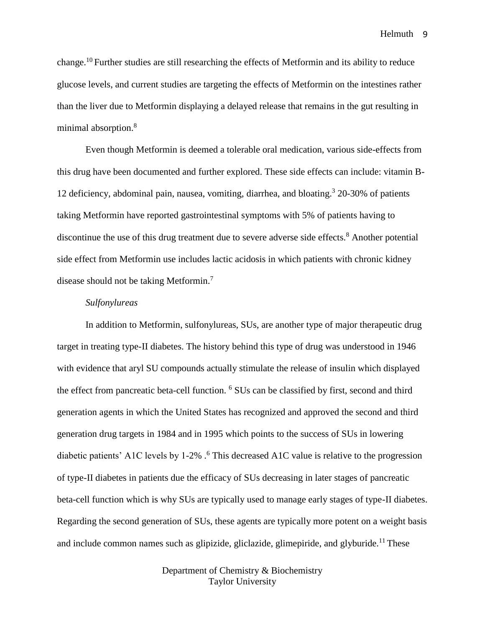change.<sup>10</sup> Further studies are still researching the effects of Metformin and its ability to reduce glucose levels, and current studies are targeting the effects of Metformin on the intestines rather than the liver due to Metformin displaying a delayed release that remains in the gut resulting in minimal absorption.<sup>8</sup>

Even though Metformin is deemed a tolerable oral medication, various side-effects from this drug have been documented and further explored. These side effects can include: vitamin B-12 deficiency, abdominal pain, nausea, vomiting, diarrhea, and bloating.<sup>3</sup> 20-30% of patients taking Metformin have reported gastrointestinal symptoms with 5% of patients having to discontinue the use of this drug treatment due to severe adverse side effects.<sup>8</sup> Another potential side effect from Metformin use includes lactic acidosis in which patients with chronic kidney disease should not be taking Metformin.<sup>7</sup>

#### *Sulfonylureas*

In addition to Metformin, sulfonylureas, SUs, are another type of major therapeutic drug target in treating type-II diabetes. The history behind this type of drug was understood in 1946 with evidence that aryl SU compounds actually stimulate the release of insulin which displayed the effect from pancreatic beta-cell function. <sup>6</sup> SUs can be classified by first, second and third generation agents in which the United States has recognized and approved the second and third generation drug targets in 1984 and in 1995 which points to the success of SUs in lowering diabetic patients' A1C levels by 1-2% .<sup>6</sup> This decreased A1C value is relative to the progression of type-II diabetes in patients due the efficacy of SUs decreasing in later stages of pancreatic beta-cell function which is why SUs are typically used to manage early stages of type-II diabetes. Regarding the second generation of SUs, these agents are typically more potent on a weight basis and include common names such as glipizide, gliclazide, glimepiride, and glyburide.<sup>11</sup> These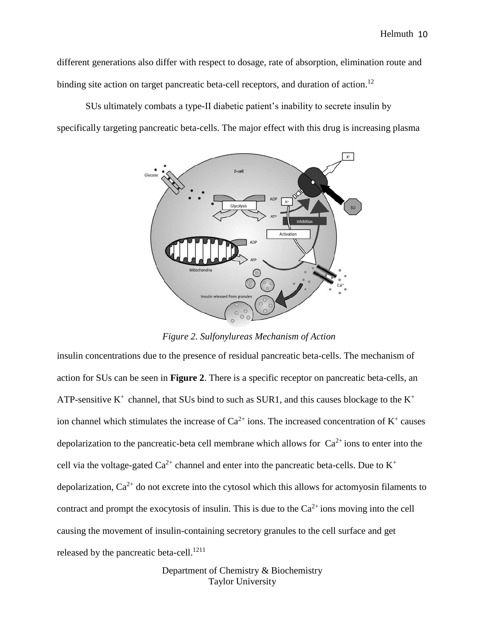different generations also differ with respect to dosage, rate of absorption, elimination route and binding site action on target pancreatic beta-cell receptors, and duration of action.<sup>12</sup>

SUs ultimately combats a type-II diabetic patient's inability to secrete insulin by specifically targeting pancreatic beta-cells. The major effect with this drug is increasing plasma



*Figure 2. Sulfonylureas Mechanism of Action*

insulin concentrations due to the presence of residual pancreatic beta-cells. The mechanism of action for SUs can be seen in **Figure 2**. There is a specific receptor on pancreatic beta-cells, an ATP-sensitive  $K^+$  channel, that SUs bind to such as SUR1, and this causes blockage to the  $K^+$ ion channel which stimulates the increase of  $Ca^{2+}$  ions. The increased concentration of  $K^+$  causes depolarization to the pancreatic-beta cell membrane which allows for  $Ca^{2+}$  ions to enter into the cell via the voltage-gated  $Ca^{2+}$  channel and enter into the pancreatic beta-cells. Due to  $K^+$ depolarization,  $Ca^{2+}$  do not excrete into the cytosol which this allows for actomyosin filaments to contract and prompt the exocytosis of insulin. This is due to the  $Ca^{2+}$  ions moving into the cell causing the movement of insulin-containing secretory granules to the cell surface and get released by the pancreatic beta-cell.<sup>1211</sup>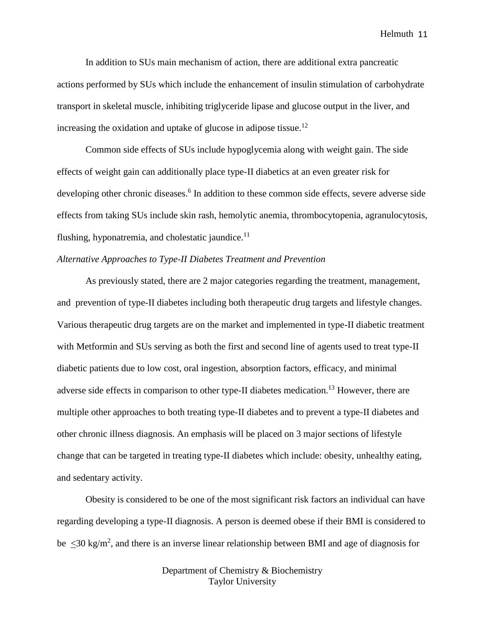In addition to SUs main mechanism of action, there are additional extra pancreatic actions performed by SUs which include the enhancement of insulin stimulation of carbohydrate transport in skeletal muscle, inhibiting triglyceride lipase and glucose output in the liver, and increasing the oxidation and uptake of glucose in adipose tissue.<sup>12</sup>

Common side effects of SUs include hypoglycemia along with weight gain. The side effects of weight gain can additionally place type-II diabetics at an even greater risk for developing other chronic diseases.<sup>6</sup> In addition to these common side effects, severe adverse side effects from taking SUs include skin rash, hemolytic anemia, thrombocytopenia, agranulocytosis, flushing, hyponatremia, and cholestatic jaundice. $^{11}$ 

## *Alternative Approaches to Type-II Diabetes Treatment and Prevention*

As previously stated, there are 2 major categories regarding the treatment, management, and prevention of type-II diabetes including both therapeutic drug targets and lifestyle changes. Various therapeutic drug targets are on the market and implemented in type-II diabetic treatment with Metformin and SUs serving as both the first and second line of agents used to treat type-II diabetic patients due to low cost, oral ingestion, absorption factors, efficacy, and minimal adverse side effects in comparison to other type-II diabetes medication.<sup>13</sup> However, there are multiple other approaches to both treating type-II diabetes and to prevent a type-II diabetes and other chronic illness diagnosis. An emphasis will be placed on 3 major sections of lifestyle change that can be targeted in treating type-II diabetes which include: obesity, unhealthy eating, and sedentary activity.

Obesity is considered to be one of the most significant risk factors an individual can have regarding developing a type-II diagnosis. A person is deemed obese if their BMI is considered to be  $\leq$ 30 kg/m<sup>2</sup>, and there is an inverse linear relationship between BMI and age of diagnosis for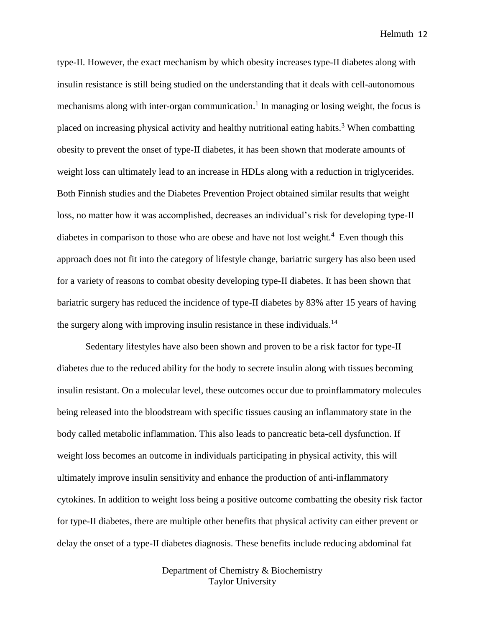type-II. However, the exact mechanism by which obesity increases type-II diabetes along with insulin resistance is still being studied on the understanding that it deals with cell-autonomous mechanisms along with inter-organ communication.<sup>1</sup> In managing or losing weight, the focus is placed on increasing physical activity and healthy nutritional eating habits.<sup>3</sup> When combatting obesity to prevent the onset of type-II diabetes, it has been shown that moderate amounts of weight loss can ultimately lead to an increase in HDLs along with a reduction in triglycerides. Both Finnish studies and the Diabetes Prevention Project obtained similar results that weight loss, no matter how it was accomplished, decreases an individual's risk for developing type-II diabetes in comparison to those who are obese and have not lost weight.<sup>4</sup> Even though this approach does not fit into the category of lifestyle change, bariatric surgery has also been used for a variety of reasons to combat obesity developing type-II diabetes. It has been shown that bariatric surgery has reduced the incidence of type-II diabetes by 83% after 15 years of having the surgery along with improving insulin resistance in these individuals.<sup>14</sup>

Sedentary lifestyles have also been shown and proven to be a risk factor for type-II diabetes due to the reduced ability for the body to secrete insulin along with tissues becoming insulin resistant. On a molecular level, these outcomes occur due to proinflammatory molecules being released into the bloodstream with specific tissues causing an inflammatory state in the body called metabolic inflammation. This also leads to pancreatic beta-cell dysfunction. If weight loss becomes an outcome in individuals participating in physical activity, this will ultimately improve insulin sensitivity and enhance the production of anti-inflammatory cytokines. In addition to weight loss being a positive outcome combatting the obesity risk factor for type-II diabetes, there are multiple other benefits that physical activity can either prevent or delay the onset of a type-II diabetes diagnosis. These benefits include reducing abdominal fat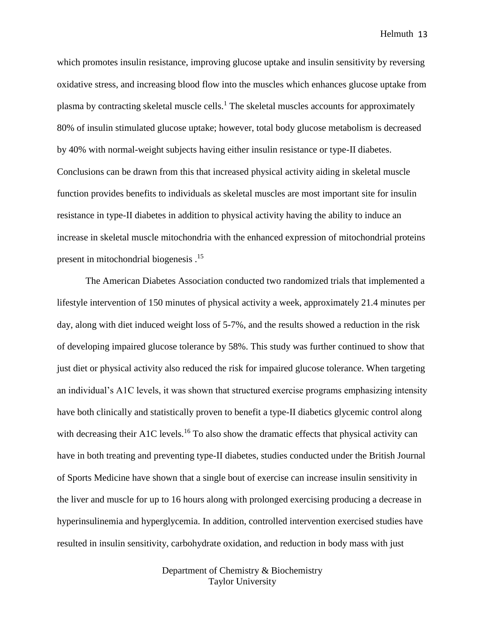which promotes insulin resistance, improving glucose uptake and insulin sensitivity by reversing oxidative stress, and increasing blood flow into the muscles which enhances glucose uptake from plasma by contracting skeletal muscle cells.<sup>1</sup> The skeletal muscles accounts for approximately 80% of insulin stimulated glucose uptake; however, total body glucose metabolism is decreased by 40% with normal-weight subjects having either insulin resistance or type-II diabetes. Conclusions can be drawn from this that increased physical activity aiding in skeletal muscle function provides benefits to individuals as skeletal muscles are most important site for insulin resistance in type-II diabetes in addition to physical activity having the ability to induce an increase in skeletal muscle mitochondria with the enhanced expression of mitochondrial proteins present in mitochondrial biogenesis .<sup>15</sup>

The American Diabetes Association conducted two randomized trials that implemented a lifestyle intervention of 150 minutes of physical activity a week, approximately 21.4 minutes per day, along with diet induced weight loss of 5-7%, and the results showed a reduction in the risk of developing impaired glucose tolerance by 58%. This study was further continued to show that just diet or physical activity also reduced the risk for impaired glucose tolerance. When targeting an individual's A1C levels, it was shown that structured exercise programs emphasizing intensity have both clinically and statistically proven to benefit a type-II diabetics glycemic control along with decreasing their A1C levels.<sup>16</sup> To also show the dramatic effects that physical activity can have in both treating and preventing type-II diabetes, studies conducted under the British Journal of Sports Medicine have shown that a single bout of exercise can increase insulin sensitivity in the liver and muscle for up to 16 hours along with prolonged exercising producing a decrease in hyperinsulinemia and hyperglycemia. In addition, controlled intervention exercised studies have resulted in insulin sensitivity, carbohydrate oxidation, and reduction in body mass with just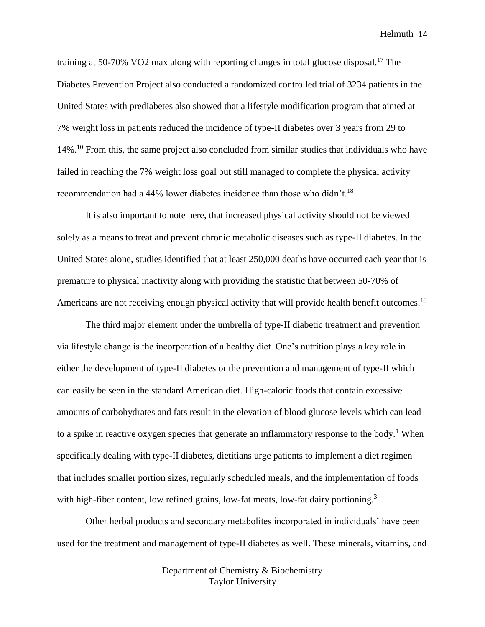training at 50-70% VO2 max along with reporting changes in total glucose disposal.<sup>17</sup> The Diabetes Prevention Project also conducted a randomized controlled trial of 3234 patients in the United States with prediabetes also showed that a lifestyle modification program that aimed at 7% weight loss in patients reduced the incidence of type-II diabetes over 3 years from 29 to 14%.<sup>10</sup> From this, the same project also concluded from similar studies that individuals who have failed in reaching the 7% weight loss goal but still managed to complete the physical activity recommendation had a 44% lower diabetes incidence than those who didn't.<sup>18</sup>

It is also important to note here, that increased physical activity should not be viewed solely as a means to treat and prevent chronic metabolic diseases such as type-II diabetes. In the United States alone, studies identified that at least 250,000 deaths have occurred each year that is premature to physical inactivity along with providing the statistic that between 50-70% of Americans are not receiving enough physical activity that will provide health benefit outcomes.<sup>15</sup>

The third major element under the umbrella of type-II diabetic treatment and prevention via lifestyle change is the incorporation of a healthy diet. One's nutrition plays a key role in either the development of type-II diabetes or the prevention and management of type-II which can easily be seen in the standard American diet. High-caloric foods that contain excessive amounts of carbohydrates and fats result in the elevation of blood glucose levels which can lead to a spike in reactive oxygen species that generate an inflammatory response to the body.<sup>1</sup> When specifically dealing with type-II diabetes, dietitians urge patients to implement a diet regimen that includes smaller portion sizes, regularly scheduled meals, and the implementation of foods with high-fiber content, low refined grains, low-fat meats, low-fat dairy portioning.<sup>3</sup>

Other herbal products and secondary metabolites incorporated in individuals' have been used for the treatment and management of type-II diabetes as well. These minerals, vitamins, and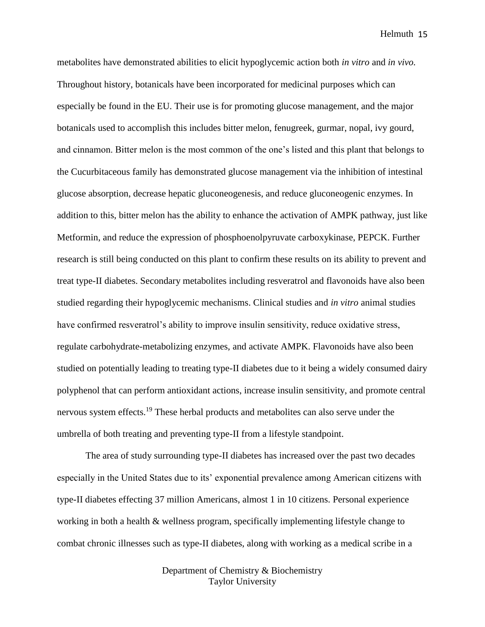metabolites have demonstrated abilities to elicit hypoglycemic action both *in vitro* and *in vivo.*  Throughout history, botanicals have been incorporated for medicinal purposes which can especially be found in the EU. Their use is for promoting glucose management, and the major botanicals used to accomplish this includes bitter melon, fenugreek, gurmar, nopal, ivy gourd, and cinnamon. Bitter melon is the most common of the one's listed and this plant that belongs to the Cucurbitaceous family has demonstrated glucose management via the inhibition of intestinal glucose absorption, decrease hepatic gluconeogenesis, and reduce gluconeogenic enzymes. In addition to this, bitter melon has the ability to enhance the activation of AMPK pathway, just like Metformin, and reduce the expression of phosphoenolpyruvate carboxykinase, PEPCK. Further research is still being conducted on this plant to confirm these results on its ability to prevent and treat type-II diabetes. Secondary metabolites including resveratrol and flavonoids have also been studied regarding their hypoglycemic mechanisms. Clinical studies and *in vitro* animal studies have confirmed resveratrol's ability to improve insulin sensitivity, reduce oxidative stress, regulate carbohydrate-metabolizing enzymes, and activate AMPK. Flavonoids have also been studied on potentially leading to treating type-II diabetes due to it being a widely consumed dairy polyphenol that can perform antioxidant actions, increase insulin sensitivity, and promote central nervous system effects.<sup>19</sup> These herbal products and metabolites can also serve under the umbrella of both treating and preventing type-II from a lifestyle standpoint.

The area of study surrounding type-II diabetes has increased over the past two decades especially in the United States due to its' exponential prevalence among American citizens with type-II diabetes effecting 37 million Americans, almost 1 in 10 citizens. Personal experience working in both a health & wellness program, specifically implementing lifestyle change to combat chronic illnesses such as type-II diabetes, along with working as a medical scribe in a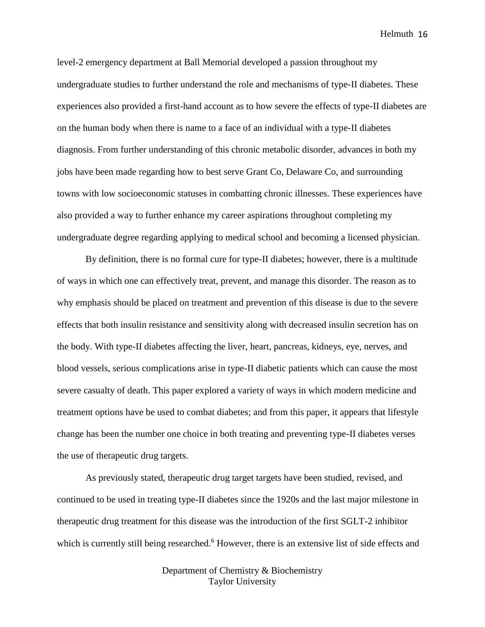level-2 emergency department at Ball Memorial developed a passion throughout my undergraduate studies to further understand the role and mechanisms of type-II diabetes. These experiences also provided a first-hand account as to how severe the effects of type-II diabetes are on the human body when there is name to a face of an individual with a type-II diabetes diagnosis. From further understanding of this chronic metabolic disorder, advances in both my jobs have been made regarding how to best serve Grant Co, Delaware Co, and surrounding towns with low socioeconomic statuses in combatting chronic illnesses. These experiences have also provided a way to further enhance my career aspirations throughout completing my undergraduate degree regarding applying to medical school and becoming a licensed physician.

By definition, there is no formal cure for type-II diabetes; however, there is a multitude of ways in which one can effectively treat, prevent, and manage this disorder. The reason as to why emphasis should be placed on treatment and prevention of this disease is due to the severe effects that both insulin resistance and sensitivity along with decreased insulin secretion has on the body. With type-II diabetes affecting the liver, heart, pancreas, kidneys, eye, nerves, and blood vessels, serious complications arise in type-II diabetic patients which can cause the most severe casualty of death. This paper explored a variety of ways in which modern medicine and treatment options have be used to combat diabetes; and from this paper, it appears that lifestyle change has been the number one choice in both treating and preventing type-II diabetes verses the use of therapeutic drug targets.

As previously stated, therapeutic drug target targets have been studied, revised, and continued to be used in treating type-II diabetes since the 1920s and the last major milestone in therapeutic drug treatment for this disease was the introduction of the first SGLT-2 inhibitor which is currently still being researched.<sup>6</sup> However, there is an extensive list of side effects and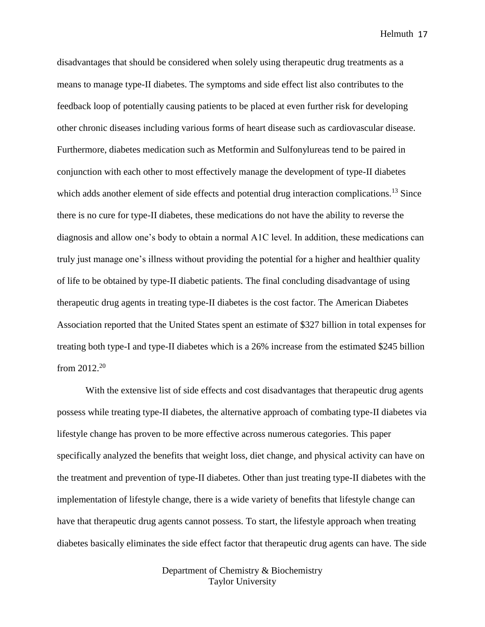disadvantages that should be considered when solely using therapeutic drug treatments as a means to manage type-II diabetes. The symptoms and side effect list also contributes to the feedback loop of potentially causing patients to be placed at even further risk for developing other chronic diseases including various forms of heart disease such as cardiovascular disease. Furthermore, diabetes medication such as Metformin and Sulfonylureas tend to be paired in conjunction with each other to most effectively manage the development of type-II diabetes which adds another element of side effects and potential drug interaction complications.<sup>13</sup> Since there is no cure for type-II diabetes, these medications do not have the ability to reverse the diagnosis and allow one's body to obtain a normal A1C level. In addition, these medications can truly just manage one's illness without providing the potential for a higher and healthier quality of life to be obtained by type-II diabetic patients. The final concluding disadvantage of using therapeutic drug agents in treating type-II diabetes is the cost factor. The American Diabetes Association reported that the United States spent an estimate of \$327 billion in total expenses for treating both type-I and type-II diabetes which is a 26% increase from the estimated \$245 billion from  $2012.^{20}$ 

With the extensive list of side effects and cost disadvantages that therapeutic drug agents possess while treating type-II diabetes, the alternative approach of combating type-II diabetes via lifestyle change has proven to be more effective across numerous categories. This paper specifically analyzed the benefits that weight loss, diet change, and physical activity can have on the treatment and prevention of type-II diabetes. Other than just treating type-II diabetes with the implementation of lifestyle change, there is a wide variety of benefits that lifestyle change can have that therapeutic drug agents cannot possess. To start, the lifestyle approach when treating diabetes basically eliminates the side effect factor that therapeutic drug agents can have. The side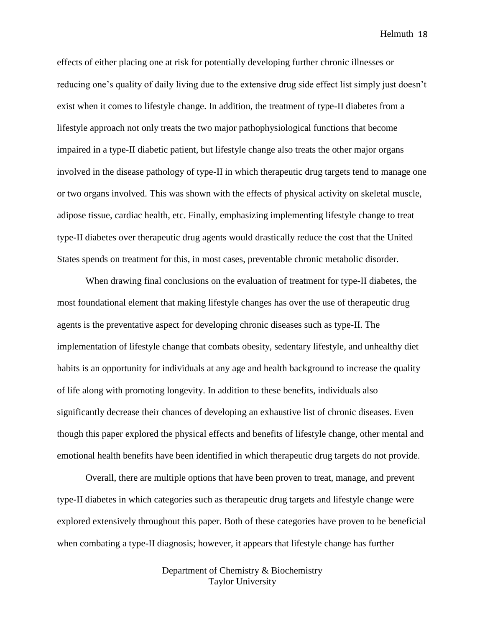effects of either placing one at risk for potentially developing further chronic illnesses or reducing one's quality of daily living due to the extensive drug side effect list simply just doesn't exist when it comes to lifestyle change. In addition, the treatment of type-II diabetes from a lifestyle approach not only treats the two major pathophysiological functions that become impaired in a type-II diabetic patient, but lifestyle change also treats the other major organs involved in the disease pathology of type-II in which therapeutic drug targets tend to manage one or two organs involved. This was shown with the effects of physical activity on skeletal muscle, adipose tissue, cardiac health, etc. Finally, emphasizing implementing lifestyle change to treat type-II diabetes over therapeutic drug agents would drastically reduce the cost that the United States spends on treatment for this, in most cases, preventable chronic metabolic disorder.

When drawing final conclusions on the evaluation of treatment for type-II diabetes, the most foundational element that making lifestyle changes has over the use of therapeutic drug agents is the preventative aspect for developing chronic diseases such as type-II. The implementation of lifestyle change that combats obesity, sedentary lifestyle, and unhealthy diet habits is an opportunity for individuals at any age and health background to increase the quality of life along with promoting longevity. In addition to these benefits, individuals also significantly decrease their chances of developing an exhaustive list of chronic diseases. Even though this paper explored the physical effects and benefits of lifestyle change, other mental and emotional health benefits have been identified in which therapeutic drug targets do not provide.

Overall, there are multiple options that have been proven to treat, manage, and prevent type-II diabetes in which categories such as therapeutic drug targets and lifestyle change were explored extensively throughout this paper. Both of these categories have proven to be beneficial when combating a type-II diagnosis; however, it appears that lifestyle change has further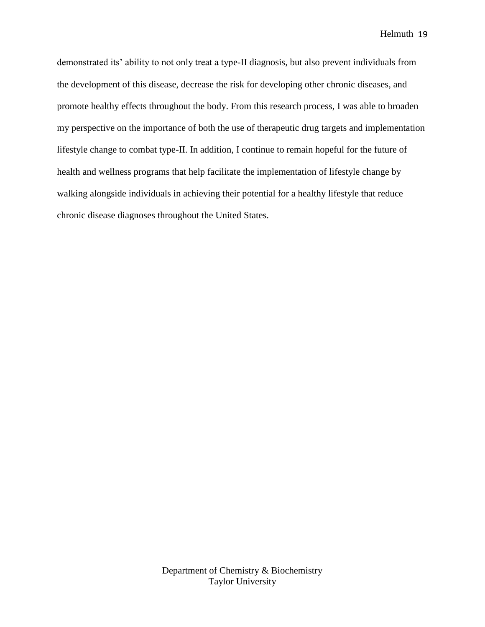demonstrated its' ability to not only treat a type-II diagnosis, but also prevent individuals from the development of this disease, decrease the risk for developing other chronic diseases, and promote healthy effects throughout the body. From this research process, I was able to broaden my perspective on the importance of both the use of therapeutic drug targets and implementation lifestyle change to combat type-II. In addition, I continue to remain hopeful for the future of health and wellness programs that help facilitate the implementation of lifestyle change by walking alongside individuals in achieving their potential for a healthy lifestyle that reduce chronic disease diagnoses throughout the United States.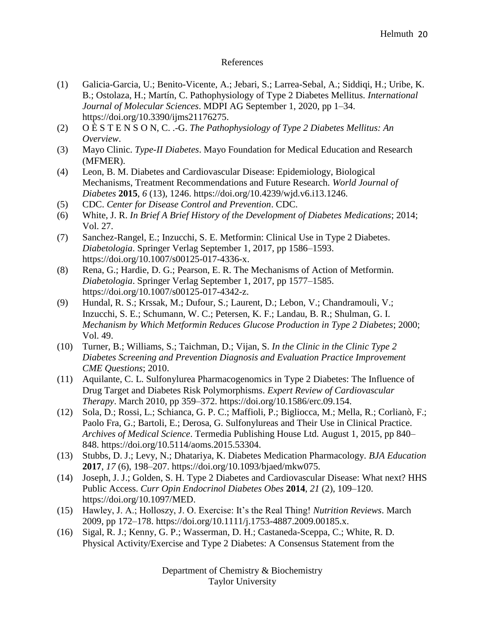## References

- (1) Galicia-Garcia, U.; Benito-Vicente, A.; Jebari, S.; Larrea-Sebal, A.; Siddiqi, H.; Uribe, K. B.; Ostolaza, H.; Martín, C. Pathophysiology of Type 2 Diabetes Mellitus. *International Journal of Molecular Sciences*. MDPI AG September 1, 2020, pp 1–34. https://doi.org/10.3390/ijms21176275.
- (2) O È S T E N S O N, C. .-G. *The Pathophysiology of Type 2 Diabetes Mellitus: An Overview*.
- (3) Mayo Clinic. *Type-II Diabetes*. Mayo Foundation for Medical Education and Research (MFMER).
- (4) Leon, B. M. Diabetes and Cardiovascular Disease: Epidemiology, Biological Mechanisms, Treatment Recommendations and Future Research. *World Journal of Diabetes* **2015**, *6* (13), 1246. https://doi.org/10.4239/wjd.v6.i13.1246.
- (5) CDC. *Center for Disease Control and Prevention*. CDC.
- (6) White, J. R. *In Brief A Brief History of the Development of Diabetes Medications*; 2014; Vol. 27.
- (7) Sanchez-Rangel, E.; Inzucchi, S. E. Metformin: Clinical Use in Type 2 Diabetes. *Diabetologia*. Springer Verlag September 1, 2017, pp 1586–1593. https://doi.org/10.1007/s00125-017-4336-x.
- (8) Rena, G.; Hardie, D. G.; Pearson, E. R. The Mechanisms of Action of Metformin. *Diabetologia*. Springer Verlag September 1, 2017, pp 1577–1585. https://doi.org/10.1007/s00125-017-4342-z.
- (9) Hundal, R. S.; Krssak, M.; Dufour, S.; Laurent, D.; Lebon, V.; Chandramouli, V.; Inzucchi, S. E.; Schumann, W. C.; Petersen, K. F.; Landau, B. R.; Shulman, G. I. *Mechanism by Which Metformin Reduces Glucose Production in Type 2 Diabetes*; 2000; Vol. 49.
- (10) Turner, B.; Williams, S.; Taichman, D.; Vijan, S. *In the Clinic in the Clinic Type 2 Diabetes Screening and Prevention Diagnosis and Evaluation Practice Improvement CME Questions*; 2010.
- (11) Aquilante, C. L. Sulfonylurea Pharmacogenomics in Type 2 Diabetes: The Influence of Drug Target and Diabetes Risk Polymorphisms. *Expert Review of Cardiovascular Therapy*. March 2010, pp 359–372. https://doi.org/10.1586/erc.09.154.
- (12) Sola, D.; Rossi, L.; Schianca, G. P. C.; Maffioli, P.; Bigliocca, M.; Mella, R.; Corlianò, F.; Paolo Fra, G.; Bartoli, E.; Derosa, G. Sulfonylureas and Their Use in Clinical Practice. *Archives of Medical Science*. Termedia Publishing House Ltd. August 1, 2015, pp 840– 848. https://doi.org/10.5114/aoms.2015.53304.
- (13) Stubbs, D. J.; Levy, N.; Dhatariya, K. Diabetes Medication Pharmacology. *BJA Education* **2017**, *17* (6), 198–207. https://doi.org/10.1093/bjaed/mkw075.
- (14) Joseph, J. J.; Golden, S. H. Type 2 Diabetes and Cardiovascular Disease: What next? HHS Public Access. *Curr Opin Endocrinol Diabetes Obes* **2014**, *21* (2), 109–120. https://doi.org/10.1097/MED.
- (15) Hawley, J. A.; Holloszy, J. O. Exercise: It's the Real Thing! *Nutrition Reviews*. March 2009, pp 172–178. https://doi.org/10.1111/j.1753-4887.2009.00185.x.
- (16) Sigal, R. J.; Kenny, G. P.; Wasserman, D. H.; Castaneda-Sceppa, C.; White, R. D. Physical Activity/Exercise and Type 2 Diabetes: A Consensus Statement from the